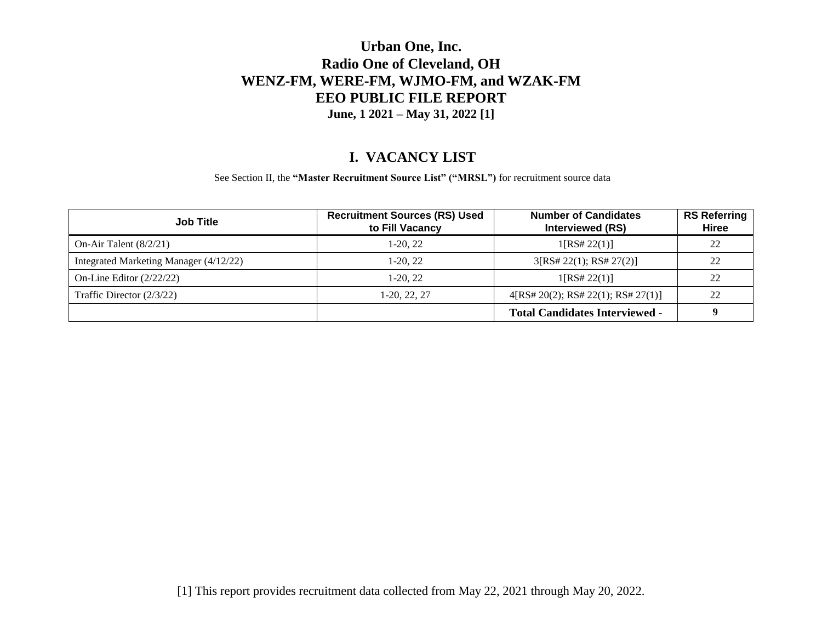#### **I. VACANCY LIST**

See Section II, the **"Master Recruitment Source List" ("MRSL")** for recruitment source data

| <b>Job Title</b>                       | <b>Recruitment Sources (RS) Used</b><br>to Fill Vacancy | <b>Number of Candidates</b><br><b>Interviewed (RS)</b> | <b>RS Referring</b><br>Hiree |
|----------------------------------------|---------------------------------------------------------|--------------------------------------------------------|------------------------------|
| On-Air Talent $(8/2/21)$               | $1-20.22$                                               | 1[RS# 22(1)]                                           | 22                           |
| Integrated Marketing Manager (4/12/22) | $1-20.22$                                               | 3[RS# 22(1); RS# 27(2)]                                | 22                           |
| On-Line Editor $(2/22/22)$             | $1-20.22$                                               | 1[RS# 22(1)]                                           | 22                           |
| Traffic Director $(2/3/22)$            | 1-20, 22, 27                                            | 4[RS# 20(2); RS# 22(1); RS# 27(1)]                     | 22                           |
|                                        |                                                         | <b>Total Candidates Interviewed -</b>                  |                              |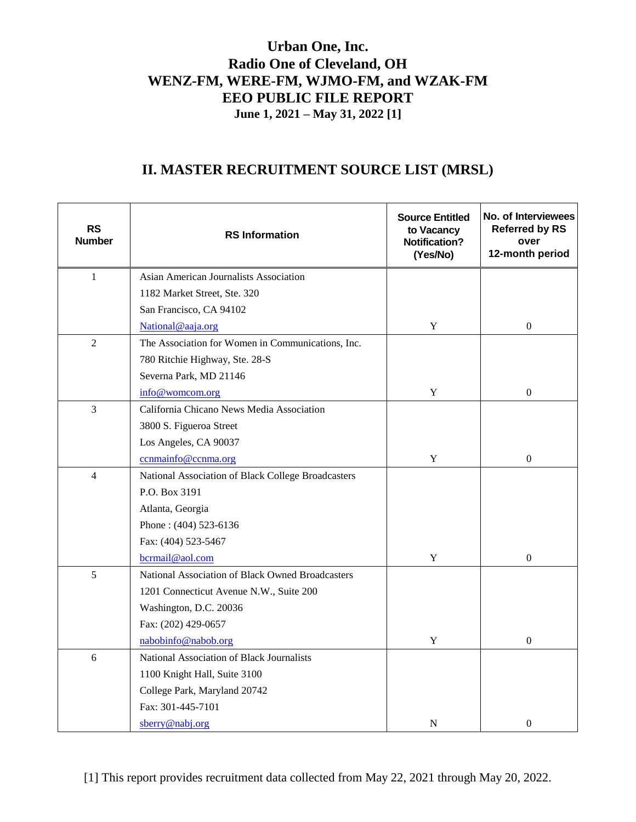## **II. MASTER RECRUITMENT SOURCE LIST (MRSL)**

| <b>RS</b><br><b>Number</b> | <b>RS Information</b>                              | <b>Source Entitled</b><br>to Vacancy<br><b>Notification?</b><br>(Yes/No) | No. of Interviewees<br><b>Referred by RS</b><br>over<br>12-month period |
|----------------------------|----------------------------------------------------|--------------------------------------------------------------------------|-------------------------------------------------------------------------|
| $\mathbf{1}$               | Asian American Journalists Association             |                                                                          |                                                                         |
|                            | 1182 Market Street, Ste. 320                       |                                                                          |                                                                         |
|                            | San Francisco, CA 94102                            |                                                                          |                                                                         |
|                            | National@aaja.org                                  | Y                                                                        | $\boldsymbol{0}$                                                        |
| $\overline{2}$             | The Association for Women in Communications, Inc.  |                                                                          |                                                                         |
|                            | 780 Ritchie Highway, Ste. 28-S                     |                                                                          |                                                                         |
|                            | Severna Park, MD 21146                             |                                                                          |                                                                         |
|                            | info@womcom.org                                    | $\mathbf Y$                                                              | $\boldsymbol{0}$                                                        |
| $\mathfrak{Z}$             | California Chicano News Media Association          |                                                                          |                                                                         |
|                            | 3800 S. Figueroa Street                            |                                                                          |                                                                         |
|                            | Los Angeles, CA 90037                              |                                                                          |                                                                         |
|                            | ccnmainfo@ccnma.org                                | Y                                                                        | $\mathbf{0}$                                                            |
| $\overline{4}$             | National Association of Black College Broadcasters |                                                                          |                                                                         |
|                            | P.O. Box 3191                                      |                                                                          |                                                                         |
|                            | Atlanta, Georgia                                   |                                                                          |                                                                         |
|                            | Phone: (404) 523-6136                              |                                                                          |                                                                         |
|                            | Fax: (404) 523-5467                                |                                                                          |                                                                         |
|                            | bcrmail@aol.com                                    | $\mathbf Y$                                                              | $\boldsymbol{0}$                                                        |
| 5                          | National Association of Black Owned Broadcasters   |                                                                          |                                                                         |
|                            | 1201 Connecticut Avenue N.W., Suite 200            |                                                                          |                                                                         |
|                            | Washington, D.C. 20036                             |                                                                          |                                                                         |
|                            | Fax: (202) 429-0657                                |                                                                          |                                                                         |
|                            | nabobinfo@nabob.org                                | Y                                                                        | $\boldsymbol{0}$                                                        |
| 6                          | National Association of Black Journalists          |                                                                          |                                                                         |
|                            | 1100 Knight Hall, Suite 3100                       |                                                                          |                                                                         |
|                            | College Park, Maryland 20742                       |                                                                          |                                                                         |
|                            | Fax: 301-445-7101                                  |                                                                          |                                                                         |
|                            | sberry@nabj.org                                    | N                                                                        | $\mathbf{0}$                                                            |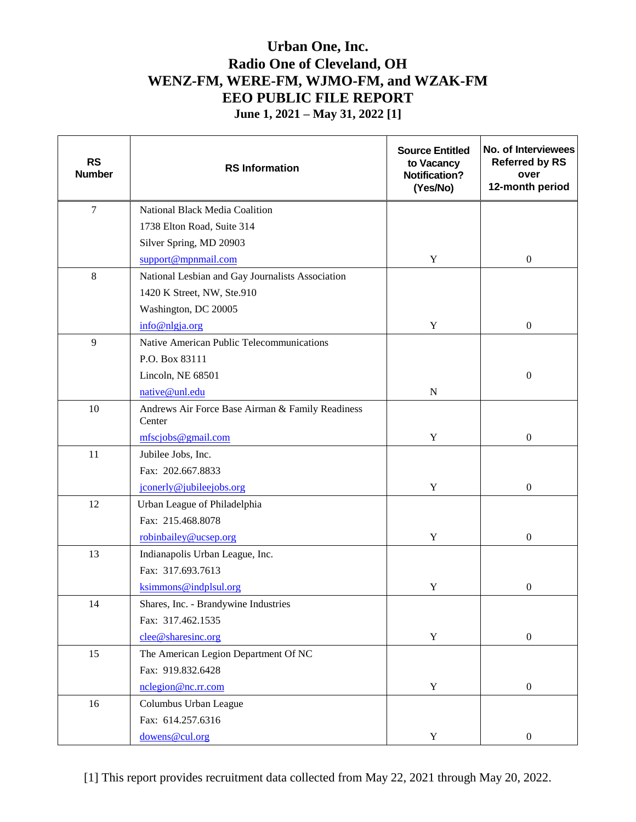| <b>RS</b><br><b>Number</b> | <b>RS</b> Information                                      | <b>Source Entitled</b><br>to Vacancy<br><b>Notification?</b><br>(Yes/No) | No. of Interviewees<br><b>Referred by RS</b><br>over<br>12-month period |
|----------------------------|------------------------------------------------------------|--------------------------------------------------------------------------|-------------------------------------------------------------------------|
| $\overline{7}$             | National Black Media Coalition                             |                                                                          |                                                                         |
|                            | 1738 Elton Road, Suite 314                                 |                                                                          |                                                                         |
|                            | Silver Spring, MD 20903                                    |                                                                          |                                                                         |
|                            | support@mpnmail.com                                        | Y                                                                        | $\boldsymbol{0}$                                                        |
| $\,8\,$                    | National Lesbian and Gay Journalists Association           |                                                                          |                                                                         |
|                            | 1420 K Street, NW, Ste.910                                 |                                                                          |                                                                         |
|                            | Washington, DC 20005                                       |                                                                          |                                                                         |
|                            | info@nlgja.org                                             | Y                                                                        | $\boldsymbol{0}$                                                        |
| 9                          | Native American Public Telecommunications                  |                                                                          |                                                                         |
|                            | P.O. Box 83111                                             |                                                                          |                                                                         |
|                            | Lincoln, NE 68501                                          |                                                                          | $\boldsymbol{0}$                                                        |
|                            | native@unl.edu                                             | ${\bf N}$                                                                |                                                                         |
| 10                         | Andrews Air Force Base Airman & Family Readiness<br>Center |                                                                          |                                                                         |
|                            | mfscjobs@gmail.com                                         | $\mathbf Y$                                                              | $\boldsymbol{0}$                                                        |
| 11                         | Jubilee Jobs, Inc.                                         |                                                                          |                                                                         |
|                            | Fax: 202.667.8833                                          |                                                                          |                                                                         |
|                            | jconerly@jubileejobs.org                                   | $\mathbf Y$                                                              | $\boldsymbol{0}$                                                        |
| 12                         | Urban League of Philadelphia                               |                                                                          |                                                                         |
|                            | Fax: 215.468.8078                                          |                                                                          |                                                                         |
|                            | robinbailey@ucsep.org                                      | Y                                                                        | $\boldsymbol{0}$                                                        |
| 13                         | Indianapolis Urban League, Inc.                            |                                                                          |                                                                         |
|                            | Fax: 317.693.7613                                          |                                                                          |                                                                         |
|                            | ksimmons@indplsul.org                                      | Y                                                                        | $\boldsymbol{0}$                                                        |
| 14                         | Shares, Inc. - Brandywine Industries                       |                                                                          |                                                                         |
|                            | Fax: 317.462.1535                                          |                                                                          |                                                                         |
|                            | clee@sharesinc.org                                         | $\mathbf Y$                                                              | $\boldsymbol{0}$                                                        |
| 15                         | The American Legion Department Of NC                       |                                                                          |                                                                         |
|                            | Fax: 919.832.6428                                          |                                                                          |                                                                         |
|                            | nclegion@nc.rr.com                                         | $\mathbf Y$                                                              | $\boldsymbol{0}$                                                        |
| 16                         | Columbus Urban League                                      |                                                                          |                                                                         |
|                            | Fax: 614.257.6316                                          |                                                                          |                                                                         |
|                            | dowens@cul.org                                             | $\mathbf Y$                                                              | $\boldsymbol{0}$                                                        |

[1] This report provides recruitment data collected from May 22, 2021 through May 20, 2022.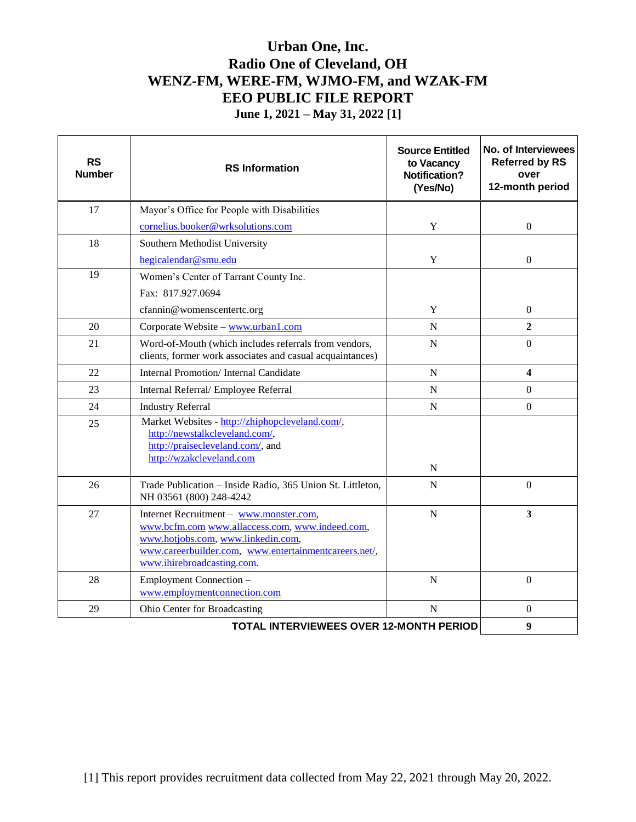| <b>RS</b><br><b>Number</b> | <b>RS</b> Information                                                                                                                                                                                                   | <b>Source Entitled</b><br>to Vacancy<br><b>Notification?</b><br>(Yes/No) | No. of Interviewees<br><b>Referred by RS</b><br>over<br>12-month period |
|----------------------------|-------------------------------------------------------------------------------------------------------------------------------------------------------------------------------------------------------------------------|--------------------------------------------------------------------------|-------------------------------------------------------------------------|
| 17                         | Mayor's Office for People with Disabilities                                                                                                                                                                             |                                                                          |                                                                         |
|                            | cornelius.booker@wrksolutions.com                                                                                                                                                                                       | Y                                                                        | $\Omega$                                                                |
| 18                         | Southern Methodist University                                                                                                                                                                                           |                                                                          |                                                                         |
|                            | hegicalendar@smu.edu                                                                                                                                                                                                    | Y                                                                        | $\mathbf{0}$                                                            |
| 19                         | Women's Center of Tarrant County Inc.                                                                                                                                                                                   |                                                                          |                                                                         |
|                            | Fax: 817.927.0694                                                                                                                                                                                                       |                                                                          |                                                                         |
|                            | cfannin@womenscentertc.org                                                                                                                                                                                              | Y                                                                        | $\Omega$                                                                |
| 20                         | Corporate Website - www.urban1.com                                                                                                                                                                                      | N                                                                        | $\overline{2}$                                                          |
| 21                         | Word-of-Mouth (which includes referrals from vendors,<br>clients, former work associates and casual acquaintances)                                                                                                      | ${\bf N}$                                                                | $\overline{0}$                                                          |
| 22                         | Internal Promotion/Internal Candidate                                                                                                                                                                                   | $\mathbf N$                                                              | $\overline{\mathbf{4}}$                                                 |
| 23                         | Internal Referral/ Employee Referral                                                                                                                                                                                    | N                                                                        | $\overline{0}$                                                          |
| 24                         | <b>Industry Referral</b>                                                                                                                                                                                                | $\mathbf N$                                                              | $\mathbf{0}$                                                            |
| 25                         | Market Websites - http://zhiphopcleveland.com/,<br>http://newstalkcleveland.com/,<br>http://praisecleveland.com/, and<br>http://wzakcleveland.com                                                                       | N                                                                        |                                                                         |
| 26                         | Trade Publication - Inside Radio, 365 Union St. Littleton,<br>NH 03561 (800) 248-4242                                                                                                                                   | N                                                                        | $\overline{0}$                                                          |
| 27                         | Internet Recruitment - www.monster.com,<br>www.bcfm.com www.allaccess.com, www.indeed.com,<br>www.hotjobs.com, www.linkedin.com,<br>www.careerbuilder.com, www.entertainmentcareers.net/,<br>www.ihirebroadcasting.com. | N                                                                        | 3                                                                       |
| 28                         | Employment Connection -<br>www.employmentconnection.com                                                                                                                                                                 | $\mathbf N$                                                              | $\Omega$                                                                |
| 29                         | Ohio Center for Broadcasting                                                                                                                                                                                            | $\mathbf N$                                                              | $\Omega$                                                                |
|                            | TOTAL INTERVIEWEES OVER 12-MONTH PERIOD                                                                                                                                                                                 |                                                                          | $\boldsymbol{9}$                                                        |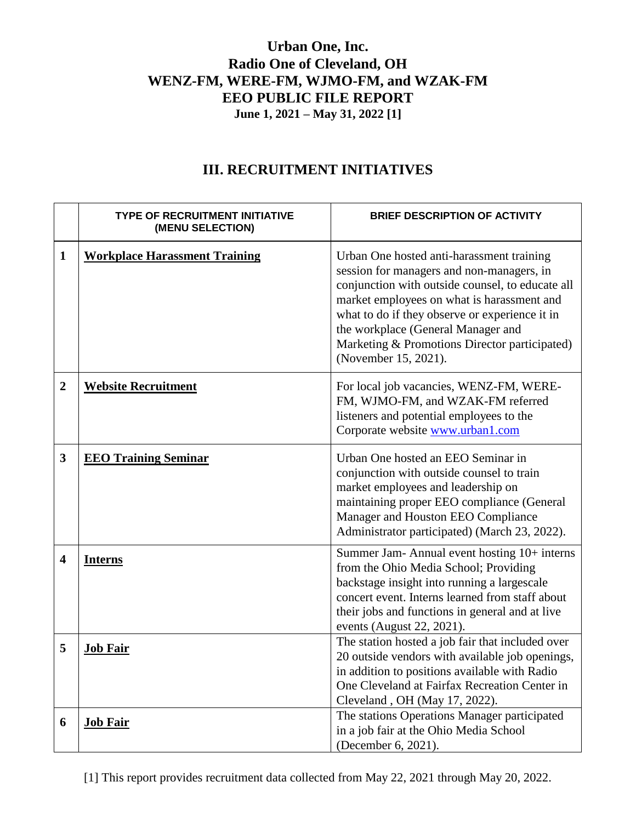## **III. RECRUITMENT INITIATIVES**

|                         | <b>TYPE OF RECRUITMENT INITIATIVE</b><br>(MENU SELECTION) | <b>BRIEF DESCRIPTION OF ACTIVITY</b>                                                                                                                                                                                                                                                                                                                      |
|-------------------------|-----------------------------------------------------------|-----------------------------------------------------------------------------------------------------------------------------------------------------------------------------------------------------------------------------------------------------------------------------------------------------------------------------------------------------------|
| 1                       | <b>Workplace Harassment Training</b>                      | Urban One hosted anti-harassment training<br>session for managers and non-managers, in<br>conjunction with outside counsel, to educate all<br>market employees on what is harassment and<br>what to do if they observe or experience it in<br>the workplace (General Manager and<br>Marketing & Promotions Director participated)<br>(November 15, 2021). |
| $\overline{2}$          | <b>Website Recruitment</b>                                | For local job vacancies, WENZ-FM, WERE-<br>FM, WJMO-FM, and WZAK-FM referred<br>listeners and potential employees to the<br>Corporate website www.urban1.com                                                                                                                                                                                              |
| 3                       | <b>EEO Training Seminar</b>                               | Urban One hosted an EEO Seminar in<br>conjunction with outside counsel to train<br>market employees and leadership on<br>maintaining proper EEO compliance (General<br>Manager and Houston EEO Compliance<br>Administrator participated) (March 23, 2022).                                                                                                |
| $\overline{\mathbf{4}}$ | <b>Interns</b>                                            | Summer Jam- Annual event hosting 10+ interns<br>from the Ohio Media School; Providing<br>backstage insight into running a largescale<br>concert event. Interns learned from staff about<br>their jobs and functions in general and at live<br>events (August 22, 2021).                                                                                   |
| 5                       | <b>Job Fair</b>                                           | The station hosted a job fair that included over<br>20 outside vendors with available job openings,<br>in addition to positions available with Radio<br>One Cleveland at Fairfax Recreation Center in<br>Cleveland, OH (May 17, 2022).                                                                                                                    |
| 6                       | <b>Job Fair</b>                                           | The stations Operations Manager participated<br>in a job fair at the Ohio Media School<br>(December 6, 2021).                                                                                                                                                                                                                                             |

[1] This report provides recruitment data collected from May 22, 2021 through May 20, 2022.